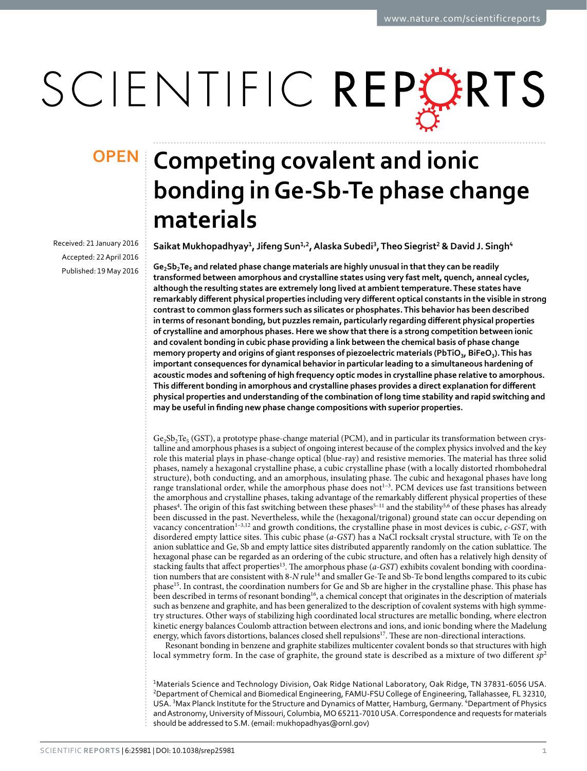# SCIENTIFIC REPERTS

Received: 21 January 2016 accepted: 22 April 2016 Published: 19 May 2016

## **Competing covalent and ionic OPENbonding in Ge-Sb-Te phase change materials**

**Saikat Mukhopadhyay<sup>1</sup>, Jifeng Sun<sup>1</sup>,<sup>2</sup>, Alaska Subedi<sup>3</sup>, Theo Siegrist<sup>2</sup> & David J. Singh<sup>4</sup>**

**Ge2Sb2Te5 and related phase change materials are highly unusual in that they can be readily transformed between amorphous and crystalline states using very fast melt, quench, anneal cycles, although the resulting states are extremely long lived at ambient temperature. These states have remarkably different physical properties including very different optical constants in the visible in strong contrast to common glass formers such as silicates or phosphates. This behavior has been described in terms of resonant bonding, but puzzles remain, particularly regarding different physical properties of crystalline and amorphous phases. Here we show that there is a strong competition between ionic and covalent bonding in cubic phase providing a link between the chemical basis of phase change memory property and origins of giant responses of piezoelectric materials (PbTiO3, BiFeO3). This has important consequences for dynamical behavior in particular leading to a simultaneous hardening of acoustic modes and softening of high frequency optic modes in crystalline phase relative to amorphous. This different bonding in amorphous and crystalline phases provides a direct explanation for different physical properties and understanding of the combination of long time stability and rapid switching and may be useful in finding new phase change compositions with superior properties.**

 $Ge_2Sb_2Te_5$  (GST), a prototype phase-change material (PCM), and in particular its transformation between crystalline and amorphous phases is a subject of ongoing interest because of the complex physics involved and the key role this material plays in phase-change optical (blue-ray) and resistive memories. The material has three solid phases, namely a hexagonal crystalline phase, a cubic crystalline phase (with a locally distorted rhombohedral structure), both conducting, and an amorphous, insulating phase. The cubic and hexagonal phases have long range translational order, while the amorphous phase does not<sup>1-3</sup>. PCM devices use fast transitions between the amorphous and crystalline phases, taking advantage of the remarkably different physical properties of these phases<sup>[4](#page-6-1)</sup>. The origin of this fast switching between these phases<sup>[5](#page-6-2)-11</sup> and the stability<sup>5,6</sup> of these phases has already been discussed in the past. Nevertheless, while the (hexagonal/trigonal) ground state can occur depending on vacancy concentration<sup>1-3[,12](#page-6-4)</sup> and growth conditions, the crystalline phase in most devices is cubic, *c*-GST, with disordered empty lattice sites. This cubic phase (*a-GST*) has a NaCl rocksalt crystal structure, with Te on the anion sublattice and Ge, Sb and empty lattice sites distributed apparently randomly on the cation sublattice. The hexagonal phase can be regarded as an ordering of the cubic structure, and often has a relatively high density of stacking faults that affect properties<sup>[13](#page-6-5)</sup>. The amorphous phase (*a-GST*) exhibits covalent bonding with coordination numbers that are consistent with 8-*N* rule<sup>14</sup> and smaller Ge-Te and Sb-Te bond lengths compared to its cubic phas[e15.](#page-6-7) In contrast, the coordination numbers for Ge and Sb are higher in the crystalline phase. This phase has been described in terms of resonant bonding<sup>16</sup>, a chemical concept that originates in the description of materials such as benzene and graphite, and has been generalized to the description of covalent systems with high symmetry structures. Other ways of stabilizing high coordinated local structures are metallic bonding, where electron kinetic energy balances Coulomb attraction between electrons and ions, and ionic bonding where the Madelung energy, which favors distortions, balances closed shell repulsions<sup>[17](#page-6-9)</sup>. These are non-directional interactions.

Resonant bonding in benzene and graphite stabilizes multicenter covalent bonds so that structures with high local symmetry form. In the case of graphite, the ground state is described as a mixture of two different *sp*<sup>2</sup>

<sup>1</sup>Materials Science and Technology Division, Oak Ridge National Laboratory, Oak Ridge, TN 37831-6056 USA. 2 Department of Chemical and Biomedical Engineering, FAMU-FSU College of Engineering, Tallahassee, FL 32310, USA. <sup>3</sup>Max Planck Institute for the Structure and Dynamics of Matter, Hamburg, Germany. <sup>4</sup>Department of Physics and Astronomy, University of Missouri, Columbia, MO 65211-7010 USA. Correspondence and requests for materials should be addressed to S.M. (email: [mukhopadhyas@ornl.gov](mailto:mukhopadhyas@ornl.gov))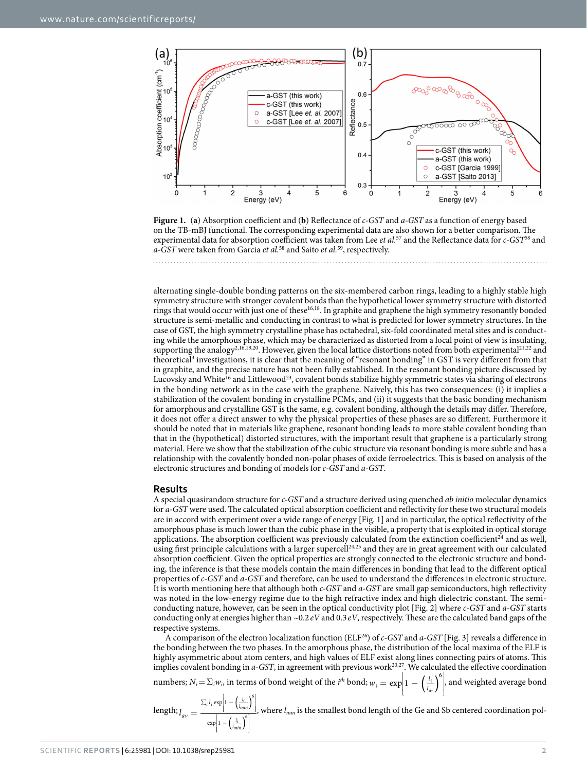

<span id="page-1-0"></span>**Figure 1.** (**a**) Absorption coefficient and (**b**) Reflectance of *c-GST* and *a-GST* as a function of energy based on the TB-mBJ functional. The corresponding experimental data are also shown for a better comparison. The experimental data for absorption coefficient was taken from Lee *et al.*[57](#page-7-0) and the Reflectance data for *c-GST*[58](#page-7-1) and *a-GST* were taken from Garcia *et al.*[58](#page-7-1) and Saito *et al.*[59,](#page-7-2) respectively.

alternating single-double bonding patterns on the six-membered carbon rings, leading to a highly stable high symmetry structure with stronger covalent bonds than the hypothetical lower symmetry structure with distorted rings that would occur with just one of these[16,](#page-6-8)[18](#page-6-10). In graphite and graphene the high symmetry resonantly bonded structure is semi-metallic and conducting in contrast to what is predicted for lower symmetry structures. In the case of GST, the high symmetry crystalline phase has octahedral, six-fold coordinated metal sites and is conducting while the amorphous phase, which may be characterized as distorted from a local point of view is insulating, supporting the analogy<sup>2[,16](#page-6-8)[,19](#page-6-12),20</sup>. However, given the local lattice distortions noted from both experimental<sup>[21](#page-6-14),[22](#page-6-15)</sup> and theoretical<sup>3</sup> investigations, it is clear that the meaning of "resonant bonding" in GST is very different from that in graphite, and the precise nature has not been fully established. In the resonant bonding picture discussed by Lucovsky and White<sup>[16](#page-6-8)</sup> and Littlewood<sup>23</sup>, covalent bonds stabilize highly symmetric states via sharing of electrons in the bonding network as in the case with the graphene. Naively, this has two consequences: (i) it implies a stabilization of the covalent bonding in crystalline PCMs, and (ii) it suggests that the basic bonding mechanism for amorphous and crystalline GST is the same, e.g. covalent bonding, although the details may differ. Therefore, it does not offer a direct answer to why the physical properties of these phases are so different. Furthermore it should be noted that in materials like graphene, resonant bonding leads to more stable covalent bonding than that in the (hypothetical) distorted structures, with the important result that graphene is a particularly strong material. Here we show that the stabilization of the cubic structure via resonant bonding is more subtle and has a relationship with the covalently bonded non-polar phases of oxide ferroelectrics. This is based on analysis of the electronic structures and bonding of models for *c-GST* and *a-GST*.

#### **Results**

A special quasirandom structure for *c-GST* and a structure derived using quenched *ab initio* molecular dynamics for *a-GST* were used. The calculated optical absorption coefficient and reflectivity for these two structural models are in accord with experiment over a wide range of energy [[Fig. 1\]](#page-1-0) and in particular, the optical reflectivity of the amorphous phase is much lower than the cubic phase in the visible, a property that is exploited in optical storage applications. The absorption coefficient was previously calculated from the extinction coefficient $24$  and as well, using first principle calculations with a larger supercell<sup>[24](#page-6-18),[25](#page-6-19)</sup> and they are in great agreement with our calculated absorption coefficient. Given the optical properties are strongly connected to the electronic structure and bonding, the inference is that these models contain the main differences in bonding that lead to the different optical properties of *c-GST* and *a-GST* and therefore, can be used to understand the differences in electronic structure. It is worth mentioning here that although both *c-GST* and *a-GST* are small gap semiconductors, high reflectivity was noted in the low-energy regime due to the high refractive index and high dielectric constant. The semiconducting nature, however, can be seen in the optical conductivity plot [[Fig. 2\]](#page-2-0) where *c-GST* and *a-GST* starts conducting only at energies higher than ~0.2*eV* and 0.3 *eV*, respectively. These are the calculated band gaps of the respective systems.

A comparison of the electron localization function (EL[F26\)](#page-6-20) of *c-GST* and *a-GST* [\[Fig. 3\]](#page-2-1) reveals a difference in the bonding between the two phases. In the amorphous phase, the distribution of the local maxima of the ELF is highly asymmetric about atom centers, and high values of ELF exist along lines connecting pairs of atoms. This implies covalent bonding in *a*-GST, in agreement with previous work<sup>[20](#page-6-13),[27](#page-6-21)</sup>. We calculated the effective coordination

numbers;  $N_i = \sum_i w_i$ , in terms of bond weight of the *i*<sup>th</sup> bond;  $w_i = \exp\left[1 - \left(\frac{l_i}{l_{av}}\right)^6\right]$ l ļ  $\overline{\phantom{a}}$ *l*  $\int_0^6$  $\left(\frac{u_i}{av}\right)$ , and weighted average bond 6

length;  $l_{av} = \frac{\sum_i l_i \exp \left[1 - \left(\frac{l_i}{l_{min}}\right)^6\right]}{1 - \left(\frac{l_i}{l_{min}}\right)}$ Į ļ ļ l Į  $-\left(\frac{l_i}{l}\right)^6$ l  $\left(\frac{u_i}{l_{min}}\right)$  $\left(\frac{u_i}{l_{min}}\right)$ *lav*  $l_i$  exp  $1$  $exp|1$  $i_l$   $l_i$   $\exp\left|1 - \left(\frac{l_i}{l_{min}}\right)\right|$ *l i lmin*  $\frac{n}{\epsilon_0}$ , where  $l_{min}$  is the smallest bond length of the Ge and Sb centered coordination pol-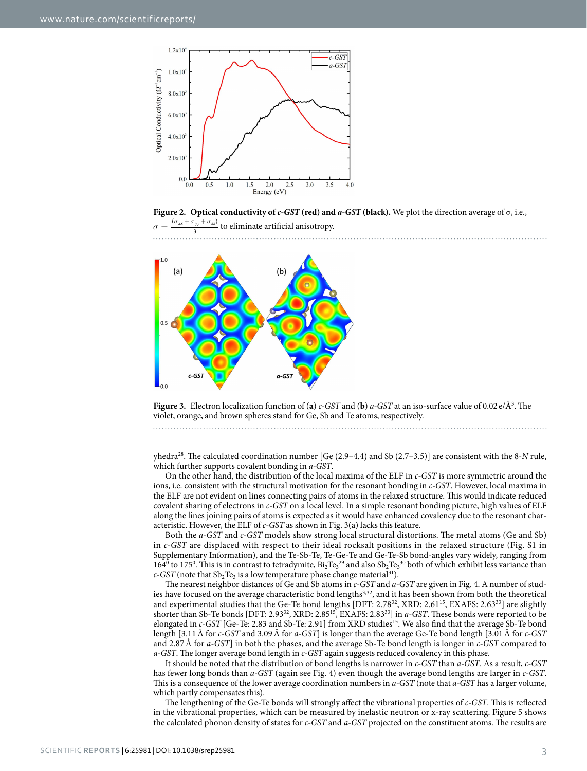

<span id="page-2-0"></span>**Figure 2. Optical conductivity of** *c-GST* **(red) and** *a-GST* **(black).** We plot the direction average of σ, i.e.,  $(\sigma_{xx} + \sigma_{yy} + \sigma_{zz})$ 3 to eliminate artificial anisotropy.



<span id="page-2-1"></span>**Figure [3](#page-6-16).** Electron localization function of (a)  $c$ -GST and (b)  $a$ -GST at an iso-surface value of 0.02 e/Å<sup>3</sup>. The violet, orange, and brown spheres stand for Ge, Sb and Te atoms, respectively.

yhedra[28](#page-7-3). The calculated coordination number [Ge (2.9–4.4) and Sb (2.7–3.5)] are consistent with the 8-*N* rule, which further supports covalent bonding in *a-GST*.

On the other hand, the distribution of the local maxima of the ELF in *c-GST* is more symmetric around the ions, i.e. consistent with the structural motivation for the resonant bonding in *c-GST*. However, local maxima in the ELF are not evident on lines connecting pairs of atoms in the relaxed structure. This would indicate reduced covalent sharing of electrons in *c-GST* on a local level. In a simple resonant bonding picture, high values of ELF along the lines joining pairs of atoms is expected as it would have enhanced covalency due to the resonant characteristic. However, the ELF of *c-GST* as shown in [Fig. 3\(a\)](#page-2-1) lacks this feature.

Both the *a-GST* and *c-GST* models show strong local structural distortions. The metal atoms (Ge and Sb) in *c-GST* are displaced with respect to their ideal rocksalt positions in the relaxed structure (Fig. S1 in Supplementary Information), and the Te-Sb-Te, Te-Ge-Te and Ge-Te-Sb bond-angles vary widely, ranging from 164<sup>0</sup> to 175<sup>0</sup>. This is in contrast to tetradymite,  $Bi_2Te_3^{39}$  and also  $Sb_2Te_3^{30}$  $Sb_2Te_3^{30}$  $Sb_2Te_3^{30}$  both of which exhibit less variance than *c*-GST (note that  $Sb<sub>2</sub>Te<sub>3</sub>$  is a low temperature phase change material<sup>31</sup>).

The nearest neighbor distances of Ge and Sb atoms in *c-GST* and *a-GST* are given in [Fig. 4.](#page-3-0) A number of stud-ies have focused on the average characteristic bond lengths<sup>[3,](#page-6-16)32</sup>, and it has been shown from both the theoretical and experimental studies that the Ge-Te bond lengths [DFT: 2.78<sup>32</sup>, XRD: 2.61<sup>15</sup>, EXAFS: 2.63<sup>33</sup>] are slightly shorter than Sb-Te bonds [DFT: 2.93[32](#page-7-7), XRD: 2.85[15,](#page-6-7) EXAFS: 2.8[333\]](#page-7-8) in *a-GST*. These bonds were reported to be elongated in *c*-GST [Ge-Te: 2.83 and Sb-Te: 2.91] from XRD studies<sup>15</sup>. We also find that the average Sb-Te bond length [3.11Å for *c-GST* and 3.09Å for *a-GST*] is longer than the average Ge-Te bond length [3.01Å for *c-GST* and 2.87Å for *a-GST*] in both the phases, and the average Sb-Te bond length is longer in *c-GST* compared to *a-GST*. The longer average bond length in *c-GST* again suggests reduced covalency in this phase.

It should be noted that the distribution of bond lengths is narrower in *c-GST* than *a-GST*. As a result, *c-GST* has fewer long bonds than *a-GST* (again see [Fig. 4\)](#page-3-0) even though the average bond lengths are larger in *c-GST*. This is a consequence of the lower average coordination numbers in *a-GST* (note that *a-GST* has a larger volume, which partly compensates this).

The lengthening of the Ge-Te bonds will strongly affect the vibrational properties of *c-GST*. This is reflected in the vibrational properties, which can be measured by inelastic neutron or x-ray scattering. [Figure 5](#page-3-1) shows the calculated phonon density of states for *c-GST* and *a-GST* projected on the constituent atoms. The results are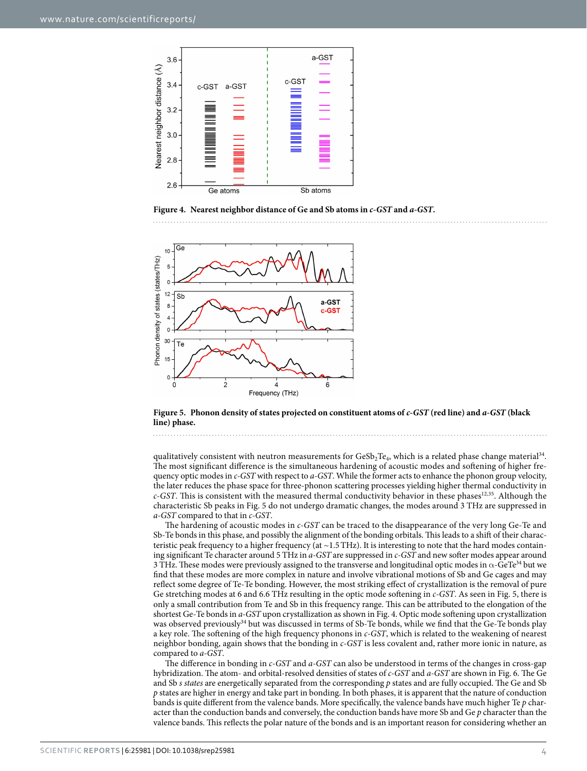

<span id="page-3-0"></span>



<span id="page-3-1"></span>

qualitatively consistent with neutron measurements for  $\text{GeSb}_2\text{Te}_4$ , which is a related phase change material<sup>34</sup>. The most significant difference is the simultaneous hardening of acoustic modes and softening of higher frequency optic modes in *c-GST* with respect to *a-GST*. While the former acts to enhance the phonon group velocity, the later reduces the phase space for three-phonon scattering processes yielding higher thermal conductivity in *c-GST*. This is consistent with the measured thermal conductivity behavior in these phase[s12](#page-6-4),[35](#page-7-10). Although the characteristic Sb peaks in [Fig. 5](#page-3-1) do not undergo dramatic changes, the modes around 3 THz are suppressed in *a-GST* compared to that in *c-GST*.

The hardening of acoustic modes in *c-GST* can be traced to the disappearance of the very long Ge-Te and Sb-Te bonds in this phase, and possibly the alignment of the bonding orbitals. This leads to a shift of their characteristic peak frequency to a higher frequency (at  $\sim$  1.5 THz). It is interesting to note that the hard modes containing significant Te character around 5 THz in *a-GST* are suppressed in *c-GST* and new softer modes appear around 3 THz. These modes were previously assigned to the transverse and longitudinal optic modes in  $\alpha$ -GeTe<sup>[34](#page-7-9)</sup> but we find that these modes are more complex in nature and involve vibrational motions of Sb and Ge cages and may reflect some degree of Te-Te bonding. However, the most striking effect of crystallization is the removal of pure Ge stretching modes at 6 and 6.6 THz resulting in the optic mode softening in *c-GST*. As seen in [Fig. 5](#page-3-1), there is only a small contribution from Te and Sb in this frequency range. This can be attributed to the elongation of the shortest Ge-Te bonds in *a-GST* upon crystallization as shown in [Fig. 4](#page-3-0). Optic mode softening upon crystallization was observed previously<sup>34</sup> but was discussed in terms of Sb-Te bonds, while we find that the Ge-Te bonds play a key role. The softening of the high frequency phonons in *c-GST*, which is related to the weakening of nearest neighbor bonding, again shows that the bonding in *c-GST* is less covalent and, rather more ionic in nature, as compared to *a-GST*.

The difference in bonding in *c-GST* and *a-GST* can also be understood in terms of the changes in cross-gap hybridization. The atom- and orbital-resolved densities of states of *c-GST* and *a-GST* are shown in [Fig. 6](#page-4-0). The Ge and Sb *s states* are energetically separated from the corresponding *p* states and are fully occupied. The Ge and Sb *p* states are higher in energy and take part in bonding. In both phases, it is apparent that the nature of conduction bands is quite different from the valence bands. More specifically, the valence bands have much higher Te *p* character than the conduction bands and conversely, the conduction bands have more Sb and Ge *p* character than the valence bands. This reflects the polar nature of the bonds and is an important reason for considering whether an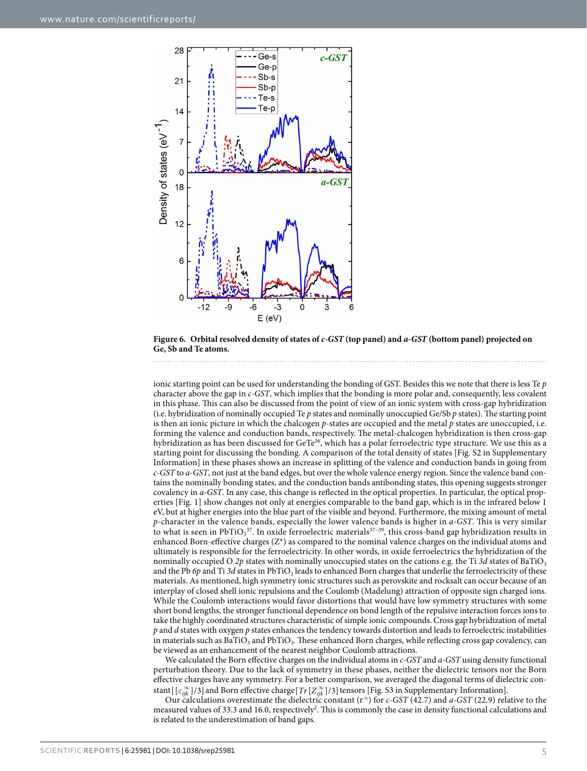

<span id="page-4-0"></span>**Figure 6. Orbital resolved density of states of** *c-GST* **(top panel) and** *a-GST* **(bottom panel) projected on Ge, Sb and Te atoms.** 

ionic starting point can be used for understanding the bonding of GST. Besides this we note that there is less Te *p* character above the gap in *c-GST*, which implies that the bonding is more polar and, consequently, less covalent in this phase. This can also be discussed from the point of view of an ionic system with cross-gap hybridization (i.e. hybridization of nominally occupied Te *p* states and nominally unoccupied Ge/Sb *p* states). The starting point is then an ionic picture in which the chalcogen *p*-states are occupied and the metal *p* states are unoccupied, i.e. forming the valence and conduction bands, respectively. The metal-chalcogen hybridization is then cross-gap hybridization as has been discussed for GeTe<sup>36</sup>, which has a polar ferroelectric type structure. We use this as a starting point for discussing the bonding. A comparison of the total density of states [Fig. S2 in Supplementary Information] in these phases shows an increase in splitting of the valence and conduction bands in going from *c-GST* to *a-GST*, not just at the band edges, but over the whole valence energy region. Since the valence band contains the nominally bonding states, and the conduction bands antibonding states, this opening suggests stronger covalency in *a-GST*. In any case, this change is reflected in the optical properties. In particular, the optical properties [[Fig. 1](#page-1-0)] show changes not only at energies comparable to the band gap, which is in the infrared below 1 eV, but at higher energies into the blue part of the visible and beyond. Furthermore, the mixing amount of metal *p*-character in the valence bands, especially the lower valence bands is higher in *a-GST*. This is very similar to what is seen in PbTiO<sub>3</sub><sup>37</sup>. In oxide ferroelectric materials<sup>37–39</sup>, this cross-band gap hybridization results in enhanced Born-effective charges  $(Z^*)$  as compared to the nominal valence charges on the individual atoms and ultimately is responsible for the ferroelectricity. In other words, in oxide ferroelectrics the hybridization of the nominally occupied O 2p states with nominally unoccupied states on the cations e.g. the Ti 3d states of BaTiO<sub>3</sub> and the Pb 6p and Ti 3d states in PbTiO<sub>3</sub> leads to enhanced Born charges that underlie the ferroelectricity of these materials. As mentioned, high symmetry ionic structures such as perovskite and rocksalt can occur because of an interplay of closed shell ionic repulsions and the Coulomb (Madelung) attraction of opposite sign charged ions. While the Coulomb interactions would favor distortions that would have low symmetry structures with some short bond lengths, the stronger functional dependence on bond length of the repulsive interaction forces ions to take the highly coordinated structures characteristic of simple ionic compounds. Cross gap hybridization of metal *p* and *d* states with oxygen *p* states enhances the tendency towards distortion and leads to ferroelectric instabilities in materials such as BaTiO<sub>3</sub> and PbTiO<sub>3</sub>. These enhanced Born charges, while reflecting cross gap covalency, can be viewed as an enhancement of the nearest neighbor Coulomb attractions.

We calculated the Born effective charges on the individual atoms in *c*-GST and *a*-GST using density functional perturbation theory. Due to the lack of symmetry in these phases, neither the dielectric tensors nor the Born effective charges have any symmetry. For a better comparison, we averaged the diagonal terms of dielectric con- $\text{stant} \left[ \left[ \varepsilon_{ijk}^{\infty} \right] / 3 \right]$  and Born effective charge  $[Tr \left[ Z_{ijk}^{\infty} \right] / 3]$  tensors [Fig. S3 in Supplementary Information].

Our calculations overestimate the dielectric constant (ɛ<sup>∝</sup>) for *c-GST* (42.7) and *a-GST* (22.9) relative to the measured values of 33.3 and 16.0, respectively<sup>[2](#page-6-11)</sup>. This is commonly the case in density functional calculations and is related to the underestimation of band gaps.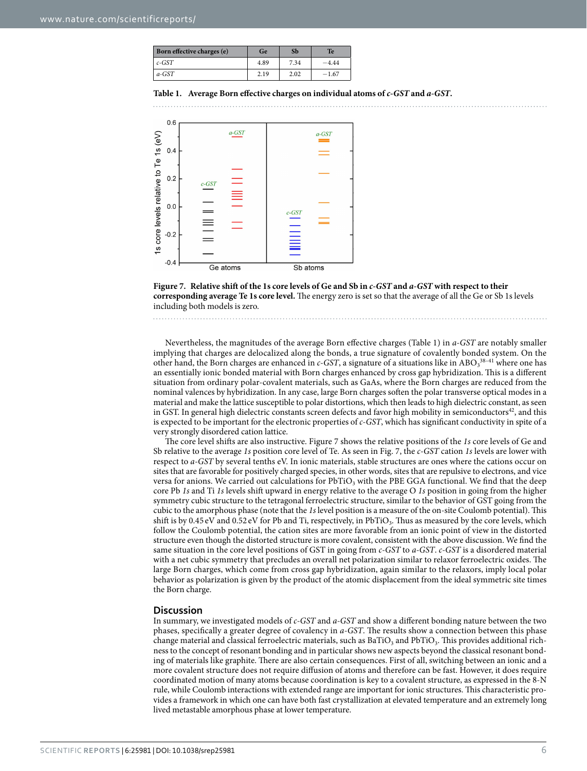<span id="page-5-0"></span>

| Born effective charges (e) | Ge   | Sb   | Te.     |
|----------------------------|------|------|---------|
| $c$ -GST                   | 4.89 | 7.34 | -4.44   |
| $a$ -GST                   | 2.19 | 2.02 | $-1.67$ |

**Table 1. Average Born effective charges on individual atoms of** *c-GST* **and** *a-GST***.**



<span id="page-5-1"></span>

Nevertheless, the magnitudes of the average Born effective charges [\(Table 1\)](#page-5-0) in *a-GST* are notably smaller implying that charges are delocalized along the bonds, a true signature of covalently bonded system. On the other hand, the Born charges are enhanced in *c*-GST, a signature of a situations like in ABO<sub>3</sub><sup>38-41</sup> where one has an essentially ionic bonded material with Born charges enhanced by cross gap hybridization. This is a different situation from ordinary polar-covalent materials, such as GaAs, where the Born charges are reduced from the nominal valences by hybridization. In any case, large Born charges soften the polar transverse optical modes in a material and make the lattice susceptible to polar distortions, which then leads to high dielectric constant, as seen in GST. In general high dielectric constants screen defects and favor high mobility in semiconductors $42$ , and this is expected to be important for the electronic properties of *c-GST*, which has significant conductivity in spite of a very strongly disordered cation lattice.

The core level shifts are also instructive. [Figure 7](#page-5-1) shows the relative positions of the *1s* core levels of Ge and Sb relative to the average *1s* position core level of Te. As seen in [Fig. 7,](#page-5-1) the *c-GST* cation *1s* levels are lower with respect to *a-GST* by several tenths eV. In ionic materials, stable structures are ones where the cations occur on sites that are favorable for positively charged species, in other words, sites that are repulsive to electrons, and vice versa for anions. We carried out calculations for PbTiO<sub>3</sub> with the PBE GGA functional. We find that the deep core Pb *1s* and Ti *1s* levels shift upward in energy relative to the average O *1s* position in going from the higher symmetry cubic structure to the tetragonal ferroelectric structure, similar to the behavior of GST going from the cubic to the amorphous phase (note that the *1s* level position is a measure of the on-site Coulomb potential). This shift is by 0.45 eV and 0.52 eV for Pb and Ti, respectively, in PbTiO<sub>3</sub>. Thus as measured by the core levels, which follow the Coulomb potential, the cation sites are more favorable from an ionic point of view in the distorted structure even though the distorted structure is more covalent, consistent with the above discussion. We find the same situation in the core level positions of GST in going from *c-GST* to *a-GST*. *c-GST* is a disordered material with a net cubic symmetry that precludes an overall net polarization similar to relaxor ferroelectric oxides. The large Born charges, which come from cross gap hybridization, again similar to the relaxors, imply local polar behavior as polarization is given by the product of the atomic displacement from the ideal symmetric site times the Born charge.

#### **Discussion**

In summary, we investigated models of *c-GST* and *a-GST* and show a different bonding nature between the two phases, specifically a greater degree of covalency in *a-GST*. The results show a connection between this phase change material and classical ferroelectric materials, such as  $BaTiO<sub>3</sub>$  and  $PbTiO<sub>3</sub>$ . This provides additional richness to the concept of resonant bonding and in particular shows new aspects beyond the classical resonant bonding of materials like graphite. There are also certain consequences. First of all, switching between an ionic and a more covalent structure does not require diffusion of atoms and therefore can be fast. However, it does require coordinated motion of many atoms because coordination is key to a covalent structure, as expressed in the 8-N rule, while Coulomb interactions with extended range are important for ionic structures. This characteristic provides a framework in which one can have both fast crystallization at elevated temperature and an extremely long lived metastable amorphous phase at lower temperature.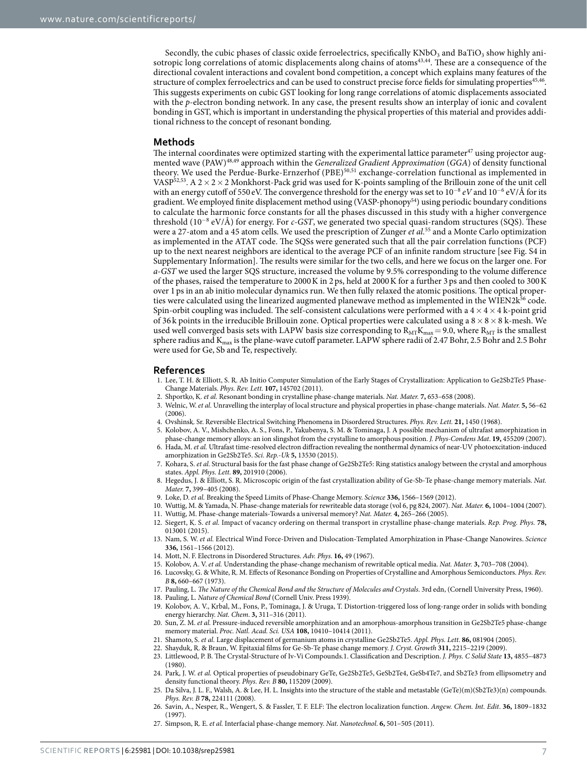Secondly, the cubic phases of classic oxide ferroelectrics, specifically  $KNbO_3$  and BaTiO<sub>3</sub> show highly ani-sotropic long correlations of atomic displacements along chains of atoms<sup>[43,](#page-7-15)44</sup>. These are a consequence of the directional covalent interactions and covalent bond competition, a concept which explains many features of the structure of complex ferroelectrics and can be used to construct precise force fields for simulating properties<sup>[45,](#page-7-17)46</sup>. This suggests experiments on cubic GST looking for long range correlations of atomic displacements associated with the *p*-electron bonding network. In any case, the present results show an interplay of ionic and covalent bonding in GST, which is important in understanding the physical properties of this material and provides additional richness to the concept of resonant bonding.

#### **Methods**

The internal coordinates were optimized starting with the experimental lattice paramete[r47](#page-7-19) using projector augmented wave (PAW)[48,](#page-7-20)[49](#page-7-21) approach within the *Generalized Gradient Approximation* (*GGA*) of density functional theory. We used the Perdue-Burke-Ernzerhof (PBE)[50,](#page-7-22)[51](#page-7-23) exchange-correlation functional as implemented in VASP<sup>52,53</sup>. A 2  $\times$  2  $\times$  2 Monkhorst-Pack grid was used for K-points sampling of the Brillouin zone of the unit cell with an energy cutoff of 550 eV. The convergence threshold for the energy was set to 10<sup>-8</sup> *eV* and 10<sup>-6</sup> eV/Å for its gradient. We employed finite displacement method using (VASP-phonop[y54\)](#page-7-26) using periodic boundary conditions to calculate the harmonic force constants for all the phases discussed in this study with a higher convergence threshold (10<sup>−</sup><sup>8</sup> eV/Å) for energy. For *c-GST*, we generated two special quasi-random structures (SQS). These were a 27-atom and a 45 atom cells. We used the prescription of Zunger *et al.*[55](#page-7-27) and a Monte Carlo optimization as implemented in the ATAT code. The SQSs were generated such that all the pair correlation functions (PCF) up to the next nearest neighbors are identical to the average PCF of an infinite random structure [see Fig. S4 in Supplementary Information]. The results were similar for the two cells, and here we focus on the larger one. For *a-GST* we used the larger SQS structure, increased the volume by 9.5% corresponding to the volume difference of the phases, raised the temperature to 2000K in 2ps, held at 2000K for a further 3ps and then cooled to 300K over 1ps in an ab initio molecular dynamics run. We then fully relaxed the atomic positions. The optical proper-ties were calculated using the linearized augmented planewave method as implemented in the WIEN2k<sup>[56](#page-7-28)</sup> code. Spin-orbit coupling was included. The self-consistent calculations were performed with a  $4 \times 4 \times 4$  k-point grid of 36 k points in the irreducible Brillouin zone. Optical properties were calculated using a  $8 \times 8 \times 8$  k-mesh. We used well converged basis sets with LAPW basis size corresponding to  $R_{MT}K_{max} = 9.0$ , where  $R_{MT}$  is the smallest sphere radius and  $K_{max}$  is the plane-wave cutoff parameter. LAPW sphere radii of 2.47 Bohr, 2.5 Bohr and 2.5 Bohr were used for Ge, Sb and Te, respectively.

#### **References**

- <span id="page-6-0"></span>1. Lee, T. H. & Elliott, S. R. Ab Initio Computer Simulation of the Early Stages of Crystallization: Application to Ge2Sb2Te5 Phase-Change Materials. *Phys. Rev. Lett.* **107,** 145702 (2011).
- <span id="page-6-11"></span>2. Shportko, K. *et al.* Resonant bonding in crystalline phase-change materials. *Nat. Mater.* **7,** 653–658 (2008).
- <span id="page-6-16"></span>3. Welnic, W. *et al.* Unravelling the interplay of local structure and physical properties in phase-change materials. *Nat. Mater.* **5,** 56–62 (2006).
- <span id="page-6-1"></span>4. Ovshinsk. Sr. Reversible Electrical Switching Phenomena in Disordered Structures. *Phys. Rev. Lett.* **21,** 1450 (1968).
- <span id="page-6-2"></span>5. Kolobov, A. V., Mishchenko, A. S., Fons, P., Yakubenya, S. M. & Tominaga, J. A possible mechanism of ultrafast amorphization in phase-change memory alloys: an ion slingshot from the crystalline to amorphous position. *J. Phys-Condens Mat*. **19,** 455209 (2007).
- <span id="page-6-3"></span>6. Hada, M. *et al.* Ultrafast time-resolved electron diffraction revealing the nonthermal dynamics of near-UV photoexcitation-induced amorphization in Ge2Sb2Te5. *Sci. Rep.-Uk* **5,** 13530 (2015).
- 7. Kohara, S. *et al.* Structural basis for the fast phase change of Ge2Sb2Te5: Ring statistics analogy between the crystal and amorphous states. *Appl. Phys. Lett.* **89,** 201910 (2006).
- 8. Hegedus, J. & Elliott, S. R. Microscopic origin of the fast crystallization ability of Ge-Sb-Te phase-change memory materials. *Nat. Mater.* **7,** 399–405 (2008).
- 9. Loke, D. *et al.* Breaking the Speed Limits of Phase-Change Memory. *Science* **336,** 1566–1569 (2012).
- 10. Wuttig, M. & Yamada, N. Phase-change materials for rewriteable data storage (vol 6, pg 824, 2007). *Nat. Mater.* **6,** 1004–1004 (2007). 11. Wuttig, M. Phase-change materials-Towards a universal memory? *Nat. Mater.* **4,** 265–266 (2005).
- <span id="page-6-4"></span>12. Siegert, K. S. *et al.* Impact of vacancy ordering on thermal transport in crystalline phase-change materials. *Rep. Prog. Phys.* **78,** 013001 (2015).
- <span id="page-6-5"></span>13. Nam, S. W. *et al.* Electrical Wind Force-Driven and Dislocation-Templated Amorphization in Phase-Change Nanowires. *Science* **336,** 1561–1566 (2012).
- <span id="page-6-6"></span>14. Mott, N. F. Electrons in Disordered Structures. *Adv. Phys*. **16,** 49 (1967).
- <span id="page-6-7"></span>15. Kolobov, A. V. *et al.* Understanding the phase-change mechanism of rewritable optical media. *Nat. Mater.* **3,** 703–708 (2004).
- <span id="page-6-8"></span>16. Lucovsky, G. & White, R. M. Effects of Resonance Bonding on Properties of Crystalline and Amorphous Semiconductors. *Phys. Rev. B* **8,** 660–667 (1973).
- <span id="page-6-9"></span>17. Pauling, L. *The Nature of the Chemical Bond and the Structure of Molecules and Crystals*. 3rd edn, (Cornell University Press, 1960).
- <span id="page-6-12"></span><span id="page-6-10"></span>18. Pauling, L. *Nature of Chemical Bond* (Cornell Univ. Press 1939).
- 19. Kolobov, A. V., Krbal, M., Fons, P., Tominaga, J. & Uruga, T. Distortion-triggered loss of long-range order in solids with bonding energy hierarchy. *Nat. Chem*. **3,** 311–316 (2011).
- <span id="page-6-13"></span>20. Sun, Z. M. *et al.* Pressure-induced reversible amorphization and an amorphous-amorphous transition in Ge2Sb2Te5 phase-change memory material. *Proc. Natl. Acad. Sci. USA* **108,** 10410–10414 (2011).
- <span id="page-6-14"></span>21. Shamoto, S. *et al.* Large displacement of germanium atoms in crystalline Ge2Sb2Te5. *Appl. Phys. Lett.* **86,** 081904 (2005).
- <span id="page-6-15"></span>22. Shayduk, R. & Braun, W. Epitaxial films for Ge-Sb-Te phase change memory. *J. Cryst. Growth* **311,** 2215–2219 (2009).
- <span id="page-6-17"></span>23. Littlewood, P. B. The Crystal-Structure of Iv-Vi Compounds.1. Classification and Description. *J. Phys. C Solid State* **13,** 4855–4873 (1980).
- <span id="page-6-18"></span>24. Park, J. W. *et al.* Optical properties of pseudobinary GeTe, Ge2Sb2Te5, GeSb2Te4, GeSb4Te7, and Sb2Te3 from ellipsometry and density functional theory. *Phys. Rev. B* **80,** 115209 (2009).
- <span id="page-6-19"></span>25. Da Silva, J. L. F., Walsh, A. & Lee, H. L. Insights into the structure of the stable and metastable (GeTe)(m)(Sb2Te3)(n) compounds. *Phys. Rev. B* **78,** 224111 (2008).
- <span id="page-6-20"></span>26. Savin, A., Nesper, R., Wengert, S. & Fassler, T. F. ELF: The electron localization function. *Angew. Chem. Int. Edit*. **36,** 1809–1832 (1997).
- <span id="page-6-21"></span>27. Simpson, R. E. *et al.* Interfacial phase-change memory. *Nat. Nanotechnol*. **6,** 501–505 (2011).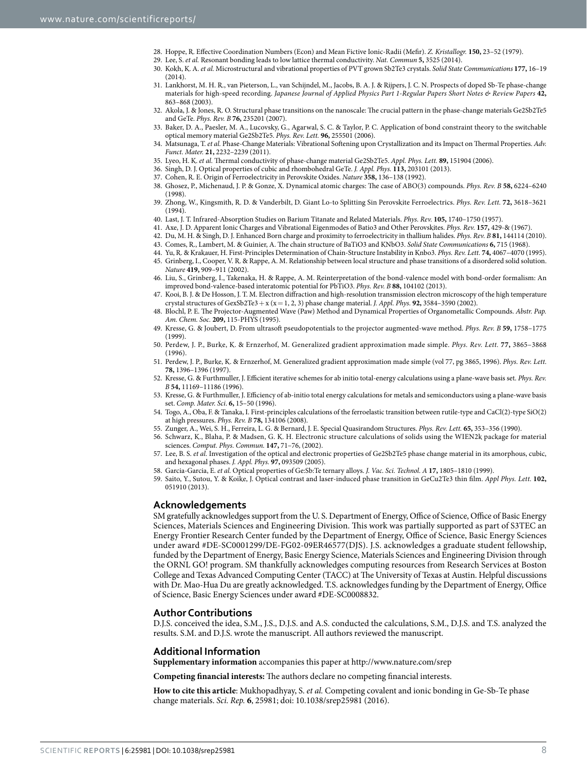- <span id="page-7-3"></span>28. Hoppe, R. Effective Coordination Numbers (Econ) and Mean Fictive Ionic-Radii (Mefir). *Z. Kristallogr.* **150,** 23–52 (1979).
- <span id="page-7-5"></span><span id="page-7-4"></span>29. Lee, S. *et al.* Resonant bonding leads to low lattice thermal conductivity. *Nat. Commun* **5,** 3525 (2014).
- 30. Kokh, K. A. *et al.* Microstructural and vibrational properties of PVT grown Sb2Te3 crystals. *Solid State Communications* **177,** 16–19  $(2014)$
- <span id="page-7-6"></span>31. Lankhorst, M. H. R., van Pieterson, L., van Schijndel, M., Jacobs, B. A. J. & Rijpers, J. C. N. Prospects of doped Sb-Te phase-change materials for high-speed recording. *Japanese Journal of Applied Physics Part 1-Regular Papers Short Notes & Review Papers* **42,** 863–868 (2003).
- <span id="page-7-7"></span>32. Akola, J. & Jones, R. O. Structural phase transitions on the nanoscale: The crucial pattern in the phase-change materials Ge2Sb2Te5 and GeTe. *Phys. Rev. B* **76,** 235201 (2007).
- <span id="page-7-8"></span>33. Baker, D. A., Paesler, M. A., Lucovsky, G., Agarwal, S. C. & Taylor, P. C. Application of bond constraint theory to the switchable optical memory material Ge2Sb2Te5. *Phys. Rev. Lett.* **96,** 255501 (2006).
- <span id="page-7-9"></span>34. Matsunaga, T. *et al.* Phase-Change Materials: Vibrational Softening upon Crystallization and its Impact on Thermal Properties. *Adv. Funct. Mater.* **21,** 2232–2239 (2011).
- <span id="page-7-10"></span>35. Lyeo, H. K. *et al.* Thermal conductivity of phase-change material Ge2Sb2Te5. *Appl. Phys. Lett.* **89,** 151904 (2006).
- <span id="page-7-11"></span>36. Singh, D. J. Optical properties of cubic and rhombohedral GeTe. *J. Appl. Phys.* **113,** 203101 (2013).
- <span id="page-7-12"></span>37. Cohen, R. E. Origin of Ferroelectricity in Perovskite Oxides. *Nature* **358,** 136–138 (1992).
- <span id="page-7-13"></span>38. Ghosez, P., Michenaud, J. P. & Gonze, X. Dynamical atomic charges: The case of ABO(3) compounds. *Phys. Rev. B* **58,** 6224–6240 (1998).
- 39. Zhong, W., Kingsmith, R. D. & Vanderbilt, D. Giant Lo-to Splitting Sin Perovskite Ferroelectrics. *Phys. Rev. Lett.* **72,** 3618–3621  $(1994)$
- 40. Last, J. T. Infrared-Absorption Studies on Barium Titanate and Related Materials. *Phys. Rev.* **105,** 1740–1750 (1957).
- 41. Axe, J. D. Apparent Ionic Charges and Vibrational Eigenmodes of Batio3 and Other Perovskites. *Phys. Rev.* **157,** 429-& (1967).
- <span id="page-7-14"></span>42. Du, M. H. & Singh, D. J. Enhanced Born charge and proximity to ferroelectricity in thallium halides. *Phys. Rev. B* **81,** 144114 (2010).
- <span id="page-7-15"></span>43. Comes, R., Lambert, M. & Guinier, A. The chain structure of BaTiO3 and KNbO3. *Solid State Communications* **6,** 715 (1968).
- <span id="page-7-17"></span><span id="page-7-16"></span>44. Yu, R. & Krakauer, H. First-Principles Determination of Chain-Structure Instability in Knbo3. *Phys. Rev. Lett.* **74,** 4067–4070 (1995). 45. Grinberg, I., Cooper, V. R. & Rappe, A. M. Relationship between local structure and phase transitions of a disordered solid solution. *Nature* **419,** 909–911 (2002).
- <span id="page-7-18"></span>46. Liu, S., Grinberg, I., Takenaka, H. & Rappe, A. M. Reinterpretation of the bond-valence model with bond-order formalism: An improved bond-valence-based interatomic potential for PbTiO3. *Phys. Rev. B* **88,** 104102 (2013).
- <span id="page-7-19"></span>47. Kooi, B. J. & De Hosson, J. T. M. Electron diffraction and high-resolution transmission electron microscopy of the high temperature crystal structures of GexSb2Te3+x (x=1, 2, 3) phase change material. *J. Appl. Phys.* **92,** 3584–3590 (2002).
- <span id="page-7-20"></span>48. Blochl, P. E. The Projector-Augmented Wave (Paw) Method and Dynamical Properties of Organometallic Compounds. *Abstr. Pap. Am. Chem. Soc.* **209,** 115-PHYS (1995).
- <span id="page-7-21"></span>49. Kresse, G. & Joubert, D. From ultrasoft pseudopotentials to the projector augmented-wave method. *Phys. Rev. B* **59,** 1758–1775 (1999).
- <span id="page-7-22"></span>50. Perdew, J. P., Burke, K. & Ernzerhof, M. Generalized gradient approximation made simple. *Phys. Rev. Lett.* **77,** 3865–3868 (1996).
- <span id="page-7-23"></span>51. Perdew, J. P., Burke, K. & Ernzerhof, M. Generalized gradient approximation made simple (vol 77, pg 3865, 1996). *Phys. Rev. Lett.* **78,** 1396–1396 (1997).
- <span id="page-7-24"></span>52. Kresse, G. & Furthmuller, J. Efficient iterative schemes for ab initio total-energy calculations using a plane-wave basis set. *Phys. Rev. B* **54,** 11169–11186 (1996).
- <span id="page-7-25"></span>53. Kresse, G. & Furthmuller, J. Efficiency of ab-initio total energy calculations for metals and semiconductors using a plane-wave basis set. *Comp. Mater. Sci*. **6,** 15–50 (1996).
- <span id="page-7-26"></span>54. Togo, A., Oba, F. & Tanaka, I. First-principles calculations of the ferroelastic transition between rutile-type and CaCl(2)-type SiO(2) at high pressures. *Phys. Rev. B* **78,** 134106 (2008).
- <span id="page-7-27"></span>55. Zunger, A., Wei, S. H., Ferreira, L. G. & Bernard, J. E. Special Quasirandom Structures. *Phys. Rev. Lett.* **65,** 353–356 (1990).
- <span id="page-7-28"></span>56. Schwarz, K., Blaha, P. & Madsen, G. K. H. Electronic structure calculations of solids using the WIEN2k package for material sciences. *Comput. Phys. Commun.* **147,** 71–76, (2002).
- <span id="page-7-0"></span>57. Lee, B. S. *et al.* Investigation of the optical and electronic properties of Ge2Sb2Te5 phase change material in its amorphous, cubic, and hexagonal phases. *J. Appl. Phys.* **97,** 093509 (2005).
- <span id="page-7-1"></span>58. Garcia-Garcia, E. *et al.* Optical properties of Ge:Sb:Te ternary alloys. *J. Vac. Sci. Technol. A* **17,** 1805–1810 (1999).
- <span id="page-7-2"></span>59. Saito, Y., Sutou, Y. & Koike, J. Optical contrast and laser-induced phase transition in GeCu2Te3 thin film. *Appl Phys. Lett.* **102,** 051910 (2013).

### **Acknowledgements**

SM gratefully acknowledges support from the U. S. Department of Energy, Office of Science, Office of Basic Energy Sciences, Materials Sciences and Engineering Division. This work was partially supported as part of S3TEC an Energy Frontier Research Center funded by the Department of Energy, Office of Science, Basic Energy Sciences under award #DE-SC0001299/DE-FG02-09ER46577(DJS). J.S. acknowledges a graduate student fellowship, funded by the Department of Energy, Basic Energy Science, Materials Sciences and Engineering Division through the ORNL GO! program. SM thankfully acknowledges computing resources from Research Services at Boston College and Texas Advanced Computing Center (TACC) at The University of Texas at Austin. Helpful discussions with Dr. Mao-Hua Du are greatly acknowledged. T.S. acknowledges funding by the Department of Energy, Office of Science, Basic Energy Sciences under award #DE-SC0008832.

#### **Author Contributions**

D.J.S. conceived the idea, S.M., J.S., D.J.S. and A.S. conducted the calculations, S.M., D.J.S. and T.S. analyzed the results. S.M. and D.J.S. wrote the manuscript. All authors reviewed the manuscript.

### **Additional Information**

**Supplementary information** accompanies this paper at <http://www.nature.com/srep>

**Competing financial interests:** The authors declare no competing financial interests.

**How to cite this article**: Mukhopadhyay, S. *et al.* Competing covalent and ionic bonding in Ge-Sb-Te phase change materials. *Sci. Rep.* **6**, 25981; doi: 10.1038/srep25981 (2016).